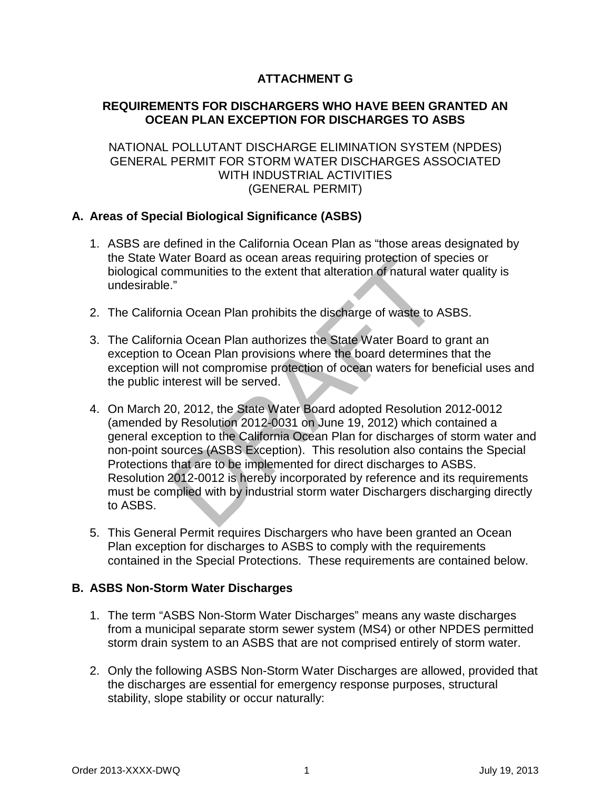# **ATTACHMENT G**

# **REQUIREMENTS FOR DISCHARGERS WHO HAVE BEEN GRANTED AN OCEAN PLAN EXCEPTION FOR DISCHARGES TO ASBS**

### NATIONAL POLLUTANT DISCHARGE ELIMINATION SYSTEM (NPDES) GENERAL PERMIT FOR STORM WATER DISCHARGES ASSOCIATED WITH INDUSTRIAL ACTIVITIES (GENERAL PERMIT)

## **A. Areas of Special Biological Significance (ASBS)**

- 1. ASBS are defined in the California Ocean Plan as "those areas designated by the State Water Board as ocean areas requiring protection of species or biological communities to the extent that alteration of natural water quality is undesirable."
- 2. The California Ocean Plan prohibits the discharge of waste to ASBS.
- 3. The California Ocean Plan authorizes the State Water Board to grant an exception to Ocean Plan provisions where the board determines that the exception will not compromise protection of ocean waters for beneficial uses and the public interest will be served.
- ater Board as ocean areas requiring protection of spiral minimum ities to the extent that alteration of natural we<br>
"
"
ia Ocean Plan prohibits the discharge of waste to A<br>
ia Ocean Plan prohibits the discharge of waste to 4. On March 20, 2012, the State Water Board adopted Resolution 2012-0012 (amended by Resolution 2012-0031 on June 19, 2012) which contained a general exception to the California Ocean Plan for discharges of storm water and non-point sources (ASBS Exception). This resolution also contains the Special Protections that are to be implemented for direct discharges to ASBS. Resolution 2012-0012 is hereby incorporated by reference and its requirements must be complied with by industrial storm water Dischargers discharging directly to ASBS.
- 5. This General Permit requires Dischargers who have been granted an Ocean Plan exception for discharges to ASBS to comply with the requirements contained in the Special Protections. These requirements are contained below.

# **B. ASBS Non-Storm Water Discharges**

- 1. The term "ASBS Non-Storm Water Discharges" means any waste discharges from a municipal separate storm sewer system (MS4) or other NPDES permitted storm drain system to an ASBS that are not comprised entirely of storm water.
- 2. Only the following ASBS Non-Storm Water Discharges are allowed, provided that the discharges are essential for emergency response purposes, structural stability, slope stability or occur naturally: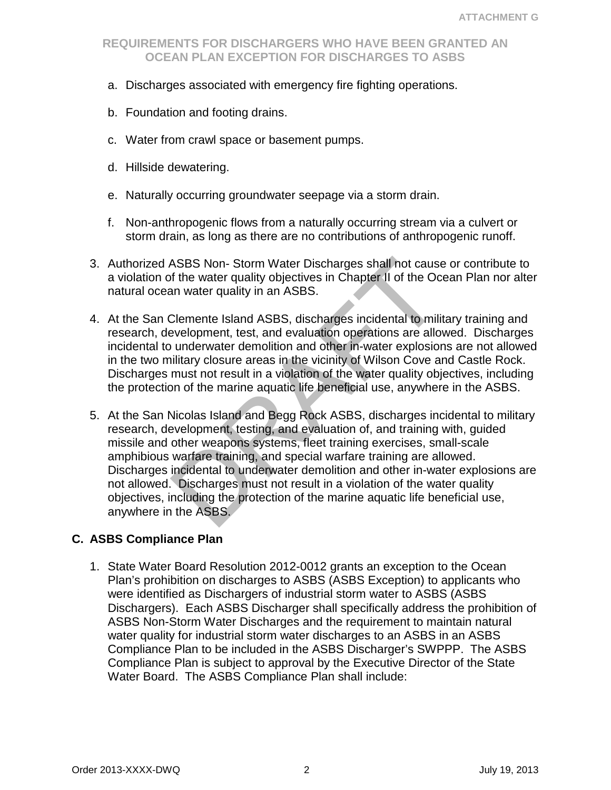- a. Discharges associated with emergency fire fighting operations.
- b. Foundation and footing drains.
- c. Water from crawl space or basement pumps.
- d. Hillside dewatering.
- e. Naturally occurring groundwater seepage via a storm drain.
- f. Non-anthropogenic flows from a naturally occurring stream via a culvert or storm drain, as long as there are no contributions of anthropogenic runoff.
- 3. Authorized ASBS Non- Storm Water Discharges shall not cause or contribute to a violation of the water quality objectives in Chapter II of the Ocean Plan nor alter natural ocean water quality in an ASBS.
- 4. At the San Clemente Island ASBS, discharges incidental to military training and research, development, test, and evaluation operations are allowed. Discharges incidental to underwater demolition and other in-water explosions are not allowed in the two military closure areas in the vicinity of Wilson Cove and Castle Rock. Discharges must not result in a violation of the water quality objectives, including the protection of the marine aquatic life beneficial use, anywhere in the ASBS.
- ASBS Non- Storm Water Discharges shall not cause<br>of the water quality objectives in Chapter II of the Ocean<br>on water quality in an ASBS.<br>Clemente Island ASBS, discharges incidental to mili-<br>evelopment, test, and evaluation 5. At the San Nicolas Island and Begg Rock ASBS, discharges incidental to military research, development, testing, and evaluation of, and training with, guided missile and other weapons systems, fleet training exercises, small-scale amphibious warfare training, and special warfare training are allowed. Discharges incidental to underwater demolition and other in-water explosions are not allowed. Discharges must not result in a violation of the water quality objectives, including the protection of the marine aquatic life beneficial use, anywhere in the ASBS.

#### **C. ASBS Compliance Plan**

1. State Water Board Resolution 2012-0012 grants an exception to the Ocean Plan's prohibition on discharges to ASBS (ASBS Exception) to applicants who were identified as Dischargers of industrial storm water to ASBS (ASBS Dischargers). Each ASBS Discharger shall specifically address the prohibition of ASBS Non-Storm Water Discharges and the requirement to maintain natural water quality for industrial storm water discharges to an ASBS in an ASBS Compliance Plan to be included in the ASBS Discharger's SWPPP. The ASBS Compliance Plan is subject to approval by the Executive Director of the State Water Board. The ASBS Compliance Plan shall include: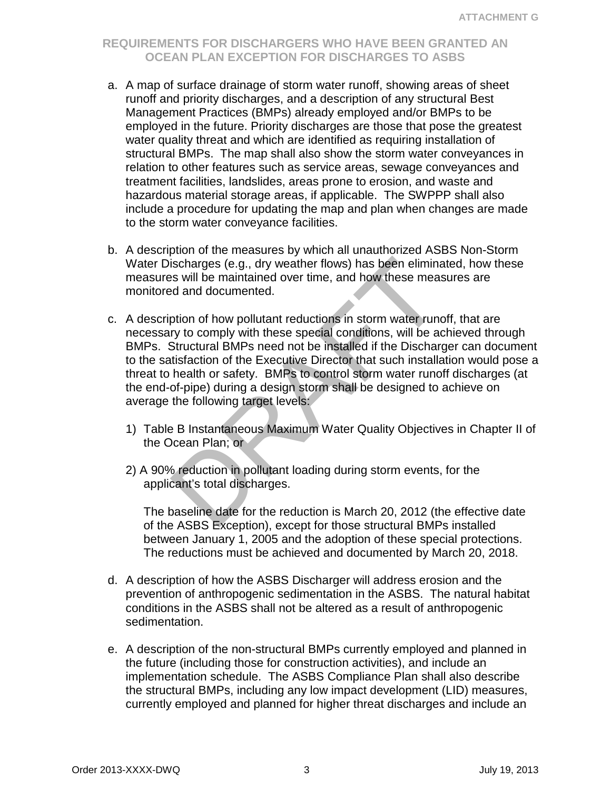- a. A map of surface drainage of storm water runoff, showing areas of sheet runoff and priority discharges, and a description of any structural Best Management Practices (BMPs) already employed and/or BMPs to be employed in the future. Priority discharges are those that pose the greatest water quality threat and which are identified as requiring installation of structural BMPs. The map shall also show the storm water conveyances in relation to other features such as service areas, sewage conveyances and treatment facilities, landslides, areas prone to erosion, and waste and hazardous material storage areas, if applicable. The SWPPP shall also include a procedure for updating the map and plan when changes are made to the storm water conveyance facilities.
- b. A description of the measures by which all unauthorized ASBS Non-Storm Water Discharges (e.g., dry weather flows) has been eliminated, how these measures will be maintained over time, and how these measures are monitored and documented.
- ischarges (e.g., dry weather flows) has been eliminated in the maintained over time, and how these meated and documented.<br>
ption of how pollutant reductions in storm water rundled and documented.<br>
ption of how pollutant re c. A description of how pollutant reductions in storm water runoff, that are necessary to comply with these special conditions, will be achieved through BMPs. Structural BMPs need not be installed if the Discharger can document to the satisfaction of the Executive Director that such installation would pose a threat to health or safety. BMPs to control storm water runoff discharges (at the end-of-pipe) during a design storm shall be designed to achieve on average the following target levels:
	- 1) Table B Instantaneous Maximum Water Quality Objectives in Chapter II of the Ocean Plan; or
	- 2) A 90% reduction in pollutant loading during storm events, for the applicant's total discharges.

The baseline date for the reduction is March 20, 2012 (the effective date of the ASBS Exception), except for those structural BMPs installed between January 1, 2005 and the adoption of these special protections. The reductions must be achieved and documented by March 20, 2018.

- d. A description of how the ASBS Discharger will address erosion and the prevention of anthropogenic sedimentation in the ASBS. The natural habitat conditions in the ASBS shall not be altered as a result of anthropogenic sedimentation.
- e. A description of the non-structural BMPs currently employed and planned in the future (including those for construction activities), and include an implementation schedule. The ASBS Compliance Plan shall also describe the structural BMPs, including any low impact development (LID) measures, currently employed and planned for higher threat discharges and include an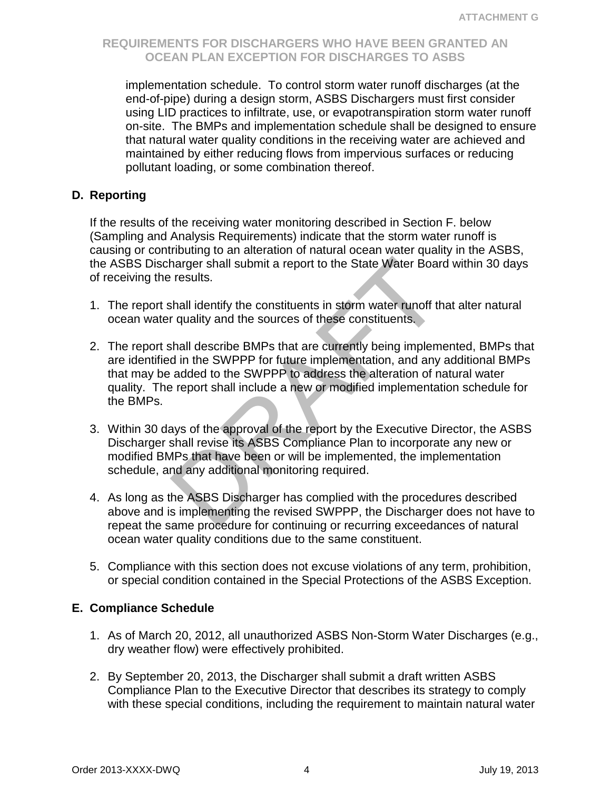implementation schedule. To control storm water runoff discharges (at the end-of-pipe) during a design storm, ASBS Dischargers must first consider using LID practices to infiltrate, use, or evapotranspiration storm water runoff on-site. The BMPs and implementation schedule shall be designed to ensure that natural water quality conditions in the receiving water are achieved and maintained by either reducing flows from impervious surfaces or reducing pollutant loading, or some combination thereof.

#### **D. Reporting**

If the results of the receiving water monitoring described in Section F. below (Sampling and Analysis Requirements) indicate that the storm water runoff is causing or contributing to an alteration of natural ocean water quality in the ASBS, the ASBS Discharger shall submit a report to the State Water Board within 30 days of receiving the results.

- 1. The report shall identify the constituents in storm water runoff that alter natural ocean water quality and the sources of these constituents.
- harger shall submit a report to the State Water Boar<br>
results.<br>
Install identify the constituents in storm water runoff the<br>
requality and the sources of these constituents.<br>
Shall describe BMPs that are currently being im 2. The report shall describe BMPs that are currently being implemented, BMPs that are identified in the SWPPP for future implementation, and any additional BMPs that may be added to the SWPPP to address the alteration of natural water quality. The report shall include a new or modified implementation schedule for the BMPs.
- 3. Within 30 days of the approval of the report by the Executive Director, the ASBS Discharger shall revise its ASBS Compliance Plan to incorporate any new or modified BMPs that have been or will be implemented, the implementation schedule, and any additional monitoring required.
- 4. As long as the ASBS Discharger has complied with the procedures described above and is implementing the revised SWPPP, the Discharger does not have to repeat the same procedure for continuing or recurring exceedances of natural ocean water quality conditions due to the same constituent.
- 5. Compliance with this section does not excuse violations of any term, prohibition, or special condition contained in the Special Protections of the ASBS Exception.

#### **E. Compliance Schedule**

- 1. As of March 20, 2012, all unauthorized ASBS Non-Storm Water Discharges (e.g., dry weather flow) were effectively prohibited.
- 2. By September 20, 2013, the Discharger shall submit a draft written ASBS Compliance Plan to the Executive Director that describes its strategy to comply with these special conditions, including the requirement to maintain natural water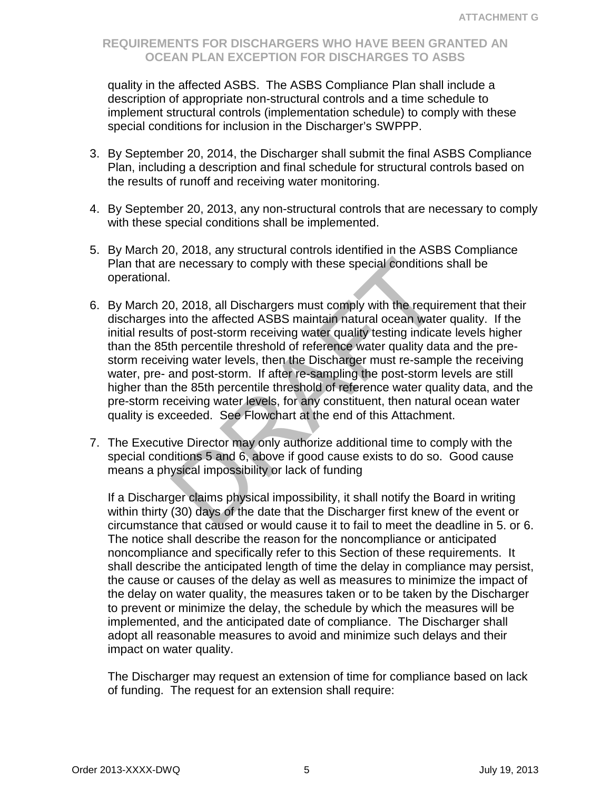quality in the affected ASBS. The ASBS Compliance Plan shall include a description of appropriate non-structural controls and a time schedule to implement structural controls (implementation schedule) to comply with these special conditions for inclusion in the Discharger's SWPPP.

- 3. By September 20, 2014, the Discharger shall submit the final ASBS Compliance Plan, including a description and final schedule for structural controls based on the results of runoff and receiving water monitoring.
- 4. By September 20, 2013, any non-structural controls that are necessary to comply with these special conditions shall be implemented.
- 5. By March 20, 2018, any structural controls identified in the ASBS Compliance Plan that are necessary to comply with these special conditions shall be operational.
- e necessary to comply with these special conditions<br>
2, 2018, all Dischargers must comply with the require<br>
into the affected ASBS maintain natural ocean wate<br>
s of post-storm receiving water quality testing indica<br>
the pe 6. By March 20, 2018, all Dischargers must comply with the requirement that their discharges into the affected ASBS maintain natural ocean water quality. If the initial results of post-storm receiving water quality testing indicate levels higher than the 85th percentile threshold of reference water quality data and the prestorm receiving water levels, then the Discharger must re-sample the receiving water, pre- and post-storm. If after re-sampling the post-storm levels are still higher than the 85th percentile threshold of reference water quality data, and the pre-storm receiving water levels, for any constituent, then natural ocean water quality is exceeded. See Flowchart at the end of this Attachment.
- 7. The Executive Director may only authorize additional time to comply with the special conditions 5 and 6, above if good cause exists to do so. Good cause means a physical impossibility or lack of funding

If a Discharger claims physical impossibility, it shall notify the Board in writing within thirty (30) days of the date that the Discharger first knew of the event or circumstance that caused or would cause it to fail to meet the deadline in 5. or 6. The notice shall describe the reason for the noncompliance or anticipated noncompliance and specifically refer to this Section of these requirements. It shall describe the anticipated length of time the delay in compliance may persist, the cause or causes of the delay as well as measures to minimize the impact of the delay on water quality, the measures taken or to be taken by the Discharger to prevent or minimize the delay, the schedule by which the measures will be implemented, and the anticipated date of compliance. The Discharger shall adopt all reasonable measures to avoid and minimize such delays and their impact on water quality.

The Discharger may request an extension of time for compliance based on lack of funding. The request for an extension shall require: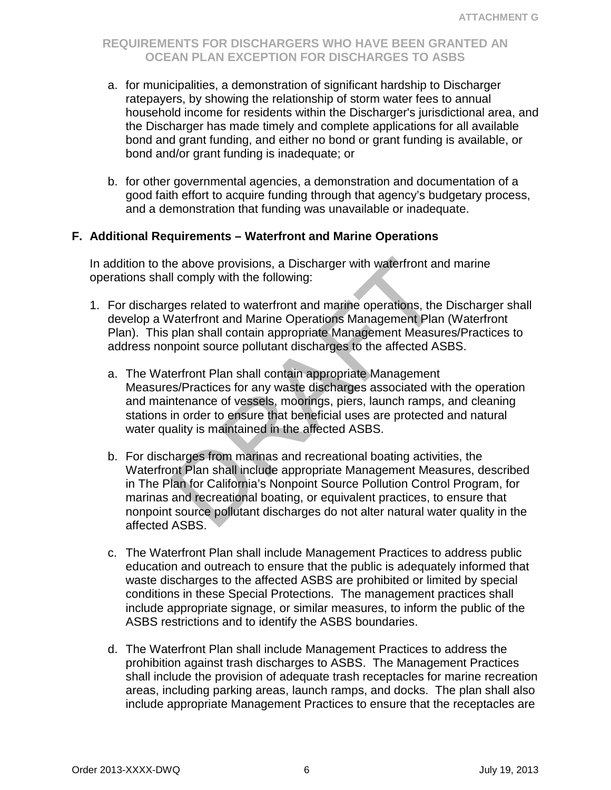- a. for municipalities, a demonstration of significant hardship to Discharger ratepayers, by showing the relationship of storm water fees to annual household income for residents within the Discharger's jurisdictional area, and the Discharger has made timely and complete applications for all available bond and grant funding, and either no bond or grant funding is available, or bond and/or grant funding is inadequate; or
- b. for other governmental agencies, a demonstration and documentation of a good faith effort to acquire funding through that agency's budgetary process, and a demonstration that funding was unavailable or inadequate.

#### **F. Additional Requirements – Waterfront and Marine Operations**

In addition to the above provisions, a Discharger with waterfront and marine operations shall comply with the following:

- 1. For discharges related to waterfront and marine operations, the Discharger shall develop a Waterfront and Marine Operations Management Plan (Waterfront Plan). This plan shall contain appropriate Management Measures/Practices to address nonpoint source pollutant discharges to the affected ASBS.
	- a. The Waterfront Plan shall contain appropriate Management Measures/Practices for any waste discharges associated with the operation and maintenance of vessels, moorings, piers, launch ramps, and cleaning stations in order to ensure that beneficial uses are protected and natural water quality is maintained in the affected ASBS.
- is a biology and subschief and the proper state of a state of a state of a state of a state of a state of a state of the Vaterfront and Marine Operations, the Vaterfront and Marine Operations Management Plan plan shall con b. For discharges from marinas and recreational boating activities, the Waterfront Plan shall include appropriate Management Measures, described in The Plan for California's Nonpoint Source Pollution Control Program, for marinas and recreational boating, or equivalent practices, to ensure that nonpoint source pollutant discharges do not alter natural water quality in the affected ASBS.
	- c. The Waterfront Plan shall include Management Practices to address public education and outreach to ensure that the public is adequately informed that waste discharges to the affected ASBS are prohibited or limited by special conditions in these Special Protections. The management practices shall include appropriate signage, or similar measures, to inform the public of the ASBS restrictions and to identify the ASBS boundaries.
	- d. The Waterfront Plan shall include Management Practices to address the prohibition against trash discharges to ASBS. The Management Practices shall include the provision of adequate trash receptacles for marine recreation areas, including parking areas, launch ramps, and docks. The plan shall also include appropriate Management Practices to ensure that the receptacles are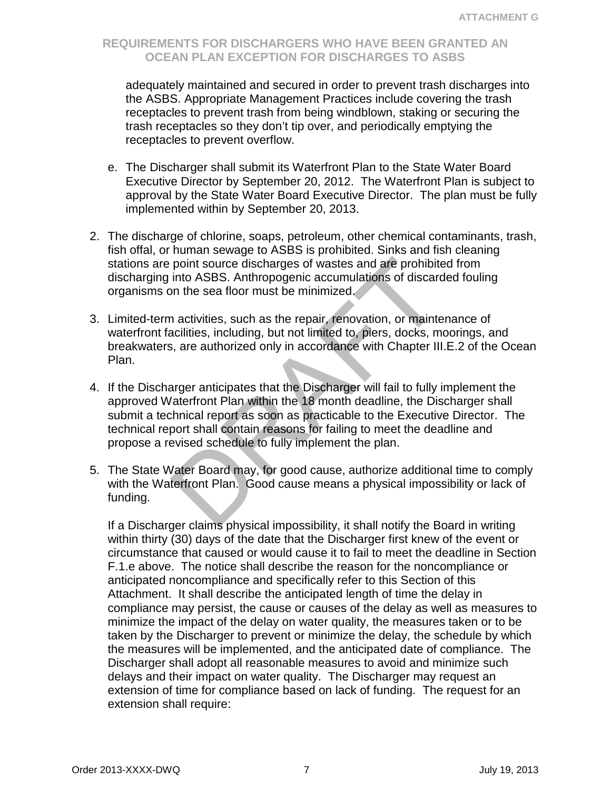adequately maintained and secured in order to prevent trash discharges into the ASBS. Appropriate Management Practices include covering the trash receptacles to prevent trash from being windblown, staking or securing the trash receptacles so they don't tip over, and periodically emptying the receptacles to prevent overflow.

- e. The Discharger shall submit its Waterfront Plan to the State Water Board Executive Director by September 20, 2012. The Waterfront Plan is subject to approval by the State Water Board Executive Director. The plan must be fully implemented within by September 20, 2013.
- 2. The discharge of chlorine, soaps, petroleum, other chemical contaminants, trash, fish offal, or human sewage to ASBS is prohibited. Sinks and fish cleaning stations are point source discharges of wastes and are prohibited from discharging into ASBS. Anthropogenic accumulations of discarded fouling organisms on the sea floor must be minimized.
- 3. Limited-term activities, such as the repair, renovation, or maintenance of waterfront facilities, including, but not limited to, piers, docks, moorings, and breakwaters, are authorized only in accordance with Chapter III.E.2 of the Ocean Plan.
- point source discharges of wastes and are prohibite<br>into ASBS. Anthropogenic accumulations of discard<br>on the sea floor must be minimized.<br>a activities, such as the repair, renovation, or mainte<br>acilities, including, but no 4. If the Discharger anticipates that the Discharger will fail to fully implement the approved Waterfront Plan within the 18 month deadline, the Discharger shall submit a technical report as soon as practicable to the Executive Director. The technical report shall contain reasons for failing to meet the deadline and propose a revised schedule to fully implement the plan.
- 5. The State Water Board may, for good cause, authorize additional time to comply with the Waterfront Plan. Good cause means a physical impossibility or lack of funding.

If a Discharger claims physical impossibility, it shall notify the Board in writing within thirty (30) days of the date that the Discharger first knew of the event or circumstance that caused or would cause it to fail to meet the deadline in Section F.1.e above. The notice shall describe the reason for the noncompliance or anticipated noncompliance and specifically refer to this Section of this Attachment. It shall describe the anticipated length of time the delay in compliance may persist, the cause or causes of the delay as well as measures to minimize the impact of the delay on water quality, the measures taken or to be taken by the Discharger to prevent or minimize the delay, the schedule by which the measures will be implemented, and the anticipated date of compliance. The Discharger shall adopt all reasonable measures to avoid and minimize such delays and their impact on water quality. The Discharger may request an extension of time for compliance based on lack of funding. The request for an extension shall require: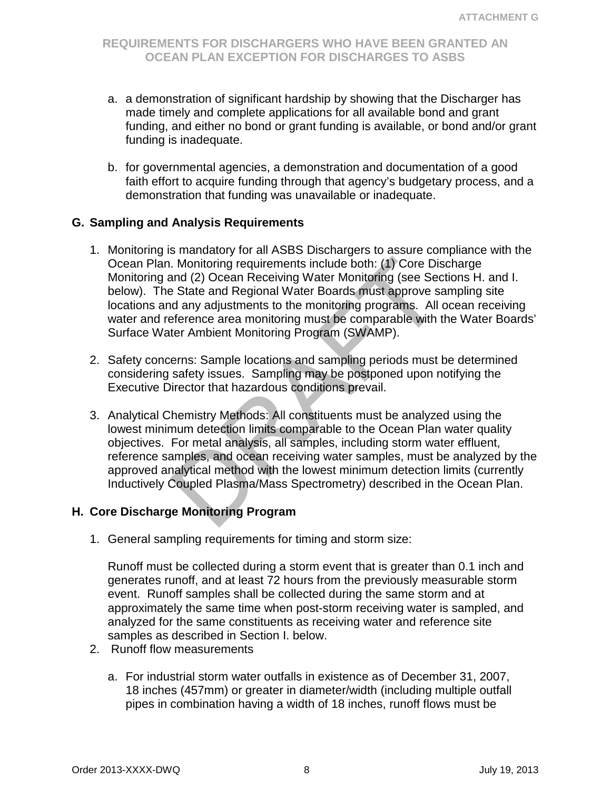- a. a demonstration of significant hardship by showing that the Discharger has made timely and complete applications for all available bond and grant funding, and either no bond or grant funding is available, or bond and/or grant funding is inadequate.
- b. for governmental agencies, a demonstration and documentation of a good faith effort to acquire funding through that agency's budgetary process, and a demonstration that funding was unavailable or inadequate.

#### **G. Sampling and Analysis Requirements**

- Monitoring requirements include both: (1) Core Distand (2) Ocean Receiving Water Monitoring (see Sectate and Regional Water Boards must approve sidely and any adjustments to the monitoring programs. All eference area monit 1. Monitoring is mandatory for all ASBS Dischargers to assure compliance with the Ocean Plan. Monitoring requirements include both: (1) Core Discharge Monitoring and (2) Ocean Receiving Water Monitoring (see Sections H. and I. below). The State and Regional Water Boards must approve sampling site locations and any adjustments to the monitoring programs. All ocean receiving water and reference area monitoring must be comparable with the Water Boards' Surface Water Ambient Monitoring Program (SWAMP).
- 2. Safety concerns: Sample locations and sampling periods must be determined considering safety issues. Sampling may be postponed upon notifying the Executive Director that hazardous conditions prevail.
- 3. Analytical Chemistry Methods: All constituents must be analyzed using the lowest minimum detection limits comparable to the Ocean Plan water quality objectives. For metal analysis, all samples, including storm water effluent, reference samples, and ocean receiving water samples, must be analyzed by the approved analytical method with the lowest minimum detection limits (currently Inductively Coupled Plasma/Mass Spectrometry) described in the Ocean Plan.

#### **H. Core Discharge Monitoring Program**

1. General sampling requirements for timing and storm size:

Runoff must be collected during a storm event that is greater than 0.1 inch and generates runoff, and at least 72 hours from the previously measurable storm event. Runoff samples shall be collected during the same storm and at approximately the same time when post-storm receiving water is sampled, and analyzed for the same constituents as receiving water and reference site samples as described in Section I. below.

- 2. Runoff flow measurements
	- a. For industrial storm water outfalls in existence as of December 31, 2007, 18 inches (457mm) or greater in diameter/width (including multiple outfall pipes in combination having a width of 18 inches, runoff flows must be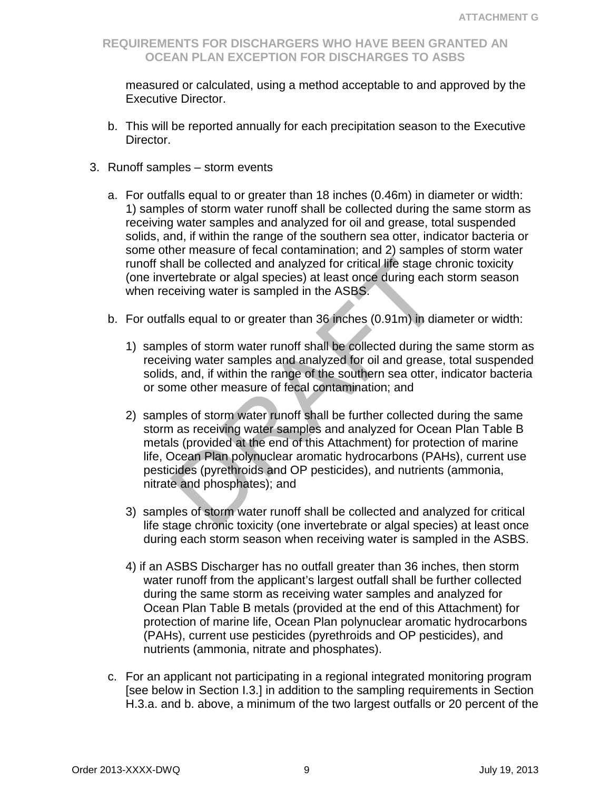measured or calculated, using a method acceptable to and approved by the Executive Director.

- b. This will be reported annually for each precipitation season to the Executive Director.
- 3. Runoff samples storm events
	- a. For outfalls equal to or greater than 18 inches (0.46m) in diameter or width: 1) samples of storm water runoff shall be collected during the same storm as receiving water samples and analyzed for oil and grease, total suspended solids, and, if within the range of the southern sea otter, indicator bacteria or some other measure of fecal contamination; and 2) samples of storm water runoff shall be collected and analyzed for critical life stage chronic toxicity (one invertebrate or algal species) at least once during each storm season when receiving water is sampled in the ASBS.
	- b. For outfalls equal to or greater than 36 inches (0.91m) in diameter or width:
		- 1) samples of storm water runoff shall be collected during the same storm as receiving water samples and analyzed for oil and grease, total suspended solids, and, if within the range of the southern sea otter, indicator bacteria or some other measure of fecal contamination; and
- nall be collected and analyzed for critical life stage c<br>ertebrate or algal species) at least once during each<br>ceiving water is sampled in the ASBS.<br>alls equal to or greater than 36 inches (0.91m) in dia<br>les of storm water 2) samples of storm water runoff shall be further collected during the same storm as receiving water samples and analyzed for Ocean Plan Table B metals (provided at the end of this Attachment) for protection of marine life, Ocean Plan polynuclear aromatic hydrocarbons (PAHs), current use pesticides (pyrethroids and OP pesticides), and nutrients (ammonia, nitrate and phosphates); and
	- 3) samples of storm water runoff shall be collected and analyzed for critical life stage chronic toxicity (one invertebrate or algal species) at least once during each storm season when receiving water is sampled in the ASBS.
	- 4) if an ASBS Discharger has no outfall greater than 36 inches, then storm water runoff from the applicant's largest outfall shall be further collected during the same storm as receiving water samples and analyzed for Ocean Plan Table B metals (provided at the end of this Attachment) for protection of marine life, Ocean Plan polynuclear aromatic hydrocarbons (PAHs), current use pesticides (pyrethroids and OP pesticides), and nutrients (ammonia, nitrate and phosphates).
	- c. For an applicant not participating in a regional integrated monitoring program [see below in Section I.3.] in addition to the sampling requirements in Section H.3.a. and b. above, a minimum of the two largest outfalls or 20 percent of the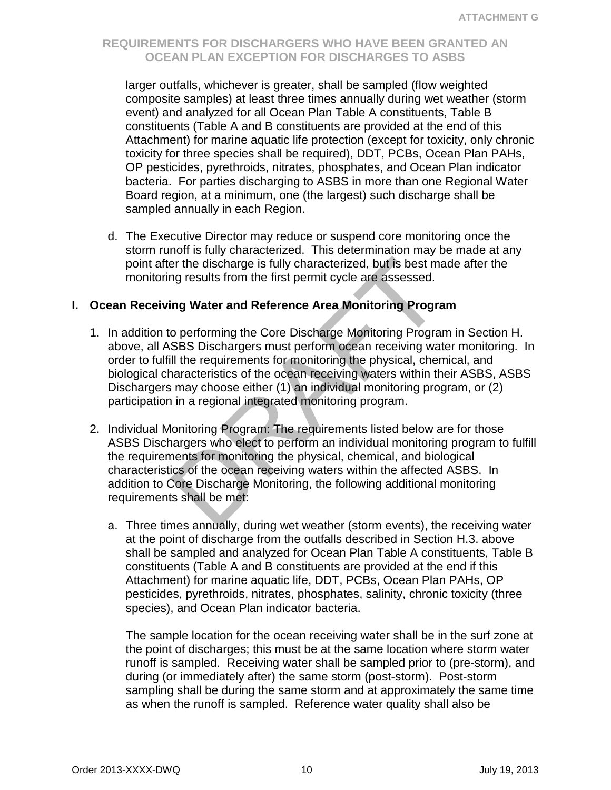larger outfalls, whichever is greater, shall be sampled (flow weighted composite samples) at least three times annually during wet weather (storm event) and analyzed for all Ocean Plan Table A constituents, Table B constituents (Table A and B constituents are provided at the end of this Attachment) for marine aquatic life protection (except for toxicity, only chronic toxicity for three species shall be required), DDT, PCBs, Ocean Plan PAHs, OP pesticides, pyrethroids, nitrates, phosphates, and Ocean Plan indicator bacteria. For parties discharging to ASBS in more than one Regional Water Board region, at a minimum, one (the largest) such discharge shall be sampled annually in each Region.

d. The Executive Director may reduce or suspend core monitoring once the storm runoff is fully characterized. This determination may be made at any point after the discharge is fully characterized, but is best made after the monitoring results from the first permit cycle are assessed.

#### **I. Ocean Receiving Water and Reference Area Monitoring Program**

- 1. In addition to performing the Core Discharge Monitoring Program in Section H. above, all ASBS Dischargers must perform ocean receiving water monitoring. In order to fulfill the requirements for monitoring the physical, chemical, and biological characteristics of the ocean receiving waters within their ASBS, ASBS Dischargers may choose either (1) an individual monitoring program, or (2) participation in a regional integrated monitoring program.
- er the discharge is fully characterized, but is best may results from the first permit cycle are assessed.<br>
ing Water and Reference Area Monitoring Progra<br>
co performing the Core Discharge Monitoring Progra<br>
SBS Discharger 2. Individual Monitoring Program: The requirements listed below are for those ASBS Dischargers who elect to perform an individual monitoring program to fulfill the requirements for monitoring the physical, chemical, and biological characteristics of the ocean receiving waters within the affected ASBS. In addition to Core Discharge Monitoring, the following additional monitoring requirements shall be met:
	- a. Three times annually, during wet weather (storm events), the receiving water at the point of discharge from the outfalls described in Section H.3. above shall be sampled and analyzed for Ocean Plan Table A constituents, Table B constituents (Table A and B constituents are provided at the end if this Attachment) for marine aquatic life, DDT, PCBs, Ocean Plan PAHs, OP pesticides, pyrethroids, nitrates, phosphates, salinity, chronic toxicity (three species), and Ocean Plan indicator bacteria.

The sample location for the ocean receiving water shall be in the surf zone at the point of discharges; this must be at the same location where storm water runoff is sampled. Receiving water shall be sampled prior to (pre-storm), and during (or immediately after) the same storm (post-storm). Post-storm sampling shall be during the same storm and at approximately the same time as when the runoff is sampled. Reference water quality shall also be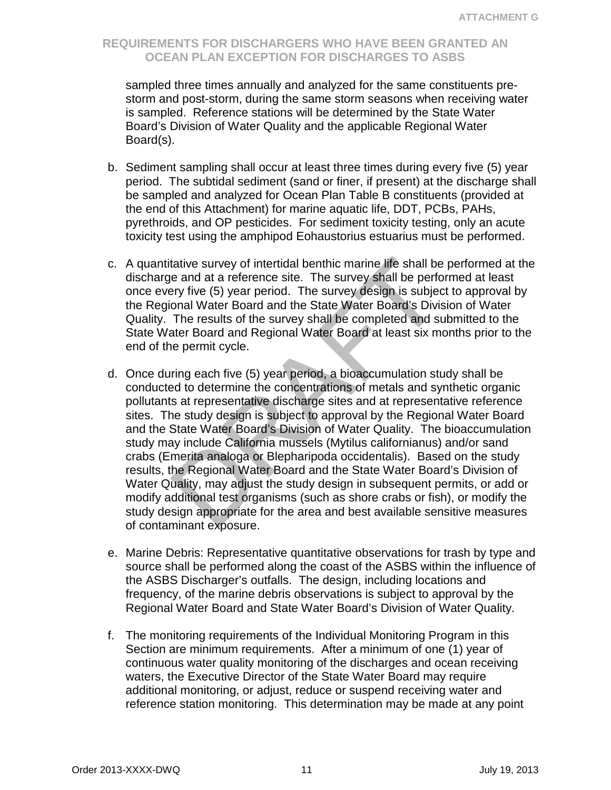sampled three times annually and analyzed for the same constituents prestorm and post-storm, during the same storm seasons when receiving water is sampled. Reference stations will be determined by the State Water Board's Division of Water Quality and the applicable Regional Water Board(s).

- b. Sediment sampling shall occur at least three times during every five (5) year period. The subtidal sediment (sand or finer, if present) at the discharge shall be sampled and analyzed for Ocean Plan Table B constituents (provided at the end of this Attachment) for marine aquatic life, DDT, PCBs, PAHs, pyrethroids, and OP pesticides. For sediment toxicity testing, only an acute toxicity test using the amphipod Eohaustorius estuarius must be performed.
- c. A quantitative survey of intertidal benthic marine life shall be performed at the discharge and at a reference site. The survey shall be performed at least once every five (5) year period. The survey design is subject to approval by the Regional Water Board and the State Water Board's Division of Water Quality. The results of the survey shall be completed and submitted to the State Water Board and Regional Water Board at least six months prior to the end of the permit cycle.
- tative survey of intertidal benthic marine life shall be<br>le and at a reference site. The survey shall be perfory five (5) year period. The survey design is subjec<br>onal Water Board and the State Water Board's Divis<br>The resu d. Once during each five (5) year period, a bioaccumulation study shall be conducted to determine the concentrations of metals and synthetic organic pollutants at representative discharge sites and at representative reference sites. The study design is subject to approval by the Regional Water Board and the State Water Board's Division of Water Quality. The bioaccumulation study may include California mussels (Mytilus californianus) and/or sand crabs (Emerita analoga or Blepharipoda occidentalis). Based on the study results, the Regional Water Board and the State Water Board's Division of Water Quality, may adjust the study design in subsequent permits, or add or modify additional test organisms (such as shore crabs or fish), or modify the study design appropriate for the area and best available sensitive measures of contaminant exposure.
- e. Marine Debris: Representative quantitative observations for trash by type and source shall be performed along the coast of the ASBS within the influence of the ASBS Discharger's outfalls. The design, including locations and frequency, of the marine debris observations is subject to approval by the Regional Water Board and State Water Board's Division of Water Quality.
- f. The monitoring requirements of the Individual Monitoring Program in this Section are minimum requirements. After a minimum of one (1) year of continuous water quality monitoring of the discharges and ocean receiving waters, the Executive Director of the State Water Board may require additional monitoring, or adjust, reduce or suspend receiving water and reference station monitoring. This determination may be made at any point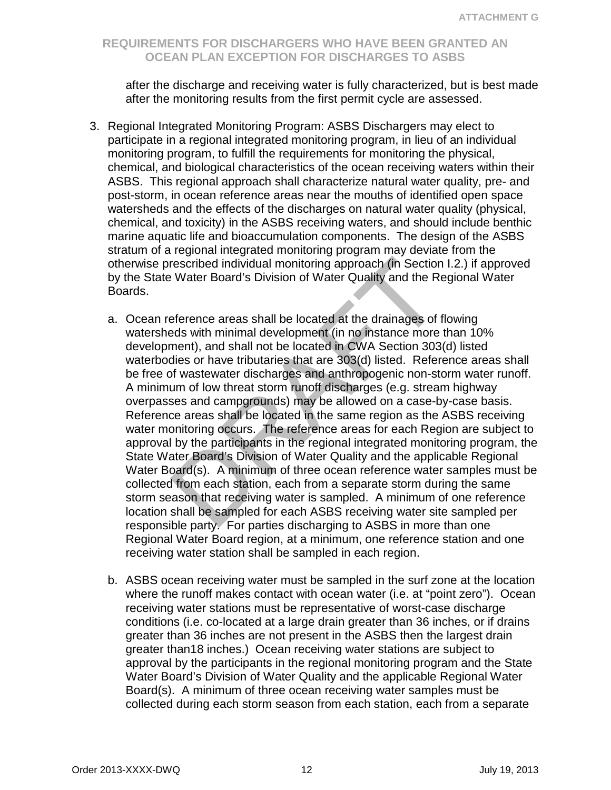after the discharge and receiving water is fully characterized, but is best made after the monitoring results from the first permit cycle are assessed.

- 3. Regional Integrated Monitoring Program: ASBS Dischargers may elect to participate in a regional integrated monitoring program, in lieu of an individual monitoring program, to fulfill the requirements for monitoring the physical, chemical, and biological characteristics of the ocean receiving waters within their ASBS. This regional approach shall characterize natural water quality, pre- and post-storm, in ocean reference areas near the mouths of identified open space watersheds and the effects of the discharges on natural water quality (physical, chemical, and toxicity) in the ASBS receiving waters, and should include benthic marine aquatic life and bioaccumulation components. The design of the ASBS stratum of a regional integrated monitoring program may deviate from the otherwise prescribed individual monitoring approach (in Section I.2.) if approved by the State Water Board's Division of Water Quality and the Regional Water Boards.
	- rescribed individual monitoring approach (in Section<br>
	Water Board's Division of Water Quality and the Reference areas shall be located at the drainages of<br>
	reference areas shall be located at the drainages of<br>
	reference ar a. Ocean reference areas shall be located at the drainages of flowing watersheds with minimal development (in no instance more than 10% development), and shall not be located in CWA Section 303(d) listed waterbodies or have tributaries that are 303(d) listed. Reference areas shall be free of wastewater discharges and anthropogenic non-storm water runoff. A minimum of low threat storm runoff discharges (e.g. stream highway overpasses and campgrounds) may be allowed on a case-by-case basis. Reference areas shall be located in the same region as the ASBS receiving water monitoring occurs. The reference areas for each Region are subject to approval by the participants in the regional integrated monitoring program, the State Water Board's Division of Water Quality and the applicable Regional Water Board(s). A minimum of three ocean reference water samples must be collected from each station, each from a separate storm during the same storm season that receiving water is sampled. A minimum of one reference location shall be sampled for each ASBS receiving water site sampled per responsible party. For parties discharging to ASBS in more than one Regional Water Board region, at a minimum, one reference station and one receiving water station shall be sampled in each region.
	- b. ASBS ocean receiving water must be sampled in the surf zone at the location where the runoff makes contact with ocean water (i.e. at "point zero"). Ocean receiving water stations must be representative of worst-case discharge conditions (i.e. co-located at a large drain greater than 36 inches, or if drains greater than 36 inches are not present in the ASBS then the largest drain greater than18 inches.) Ocean receiving water stations are subject to approval by the participants in the regional monitoring program and the State Water Board's Division of Water Quality and the applicable Regional Water Board(s). A minimum of three ocean receiving water samples must be collected during each storm season from each station, each from a separate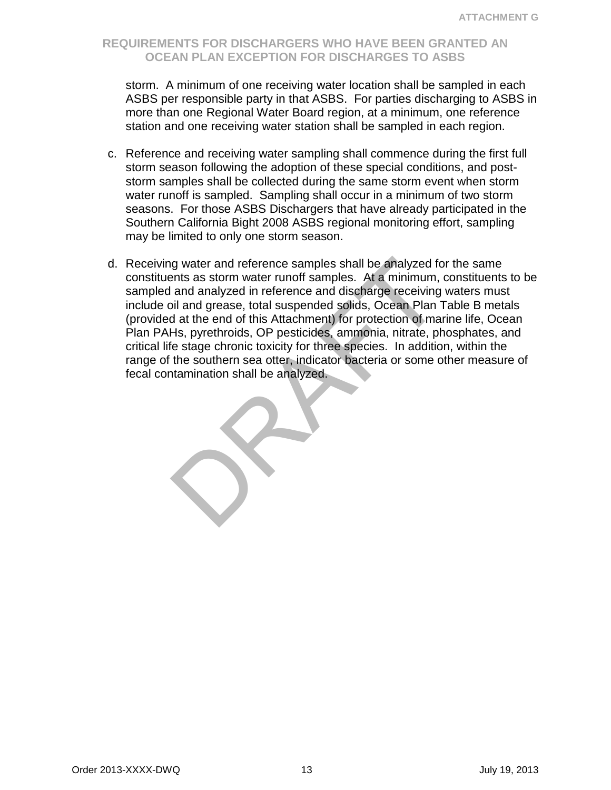storm. A minimum of one receiving water location shall be sampled in each ASBS per responsible party in that ASBS. For parties discharging to ASBS in more than one Regional Water Board region, at a minimum, one reference station and one receiving water station shall be sampled in each region.

- c. Reference and receiving water sampling shall commence during the first full storm season following the adoption of these special conditions, and poststorm samples shall be collected during the same storm event when storm water runoff is sampled. Sampling shall occur in a minimum of two storm seasons. For those ASBS Dischargers that have already participated in the Southern California Bight 2008 ASBS regional monitoring effort, sampling may be limited to only one storm season.
- ign water and reference samples shall be analyzed for the samples shall be analyzed for the samples. At a minimum, and analyzed in reference and discharge receiving oil and grease, total suspended solids, Ocean Plan d at t d. Receiving water and reference samples shall be analyzed for the same constituents as storm water runoff samples. At a minimum, constituents to be sampled and analyzed in reference and discharge receiving waters must include oil and grease, total suspended solids, Ocean Plan Table B metals (provided at the end of this Attachment) for protection of marine life, Ocean Plan PAHs, pyrethroids, OP pesticides, ammonia, nitrate, phosphates, and critical life stage chronic toxicity for three species. In addition, within the range of the southern sea otter, indicator bacteria or some other measure of fecal contamination shall be analyzed.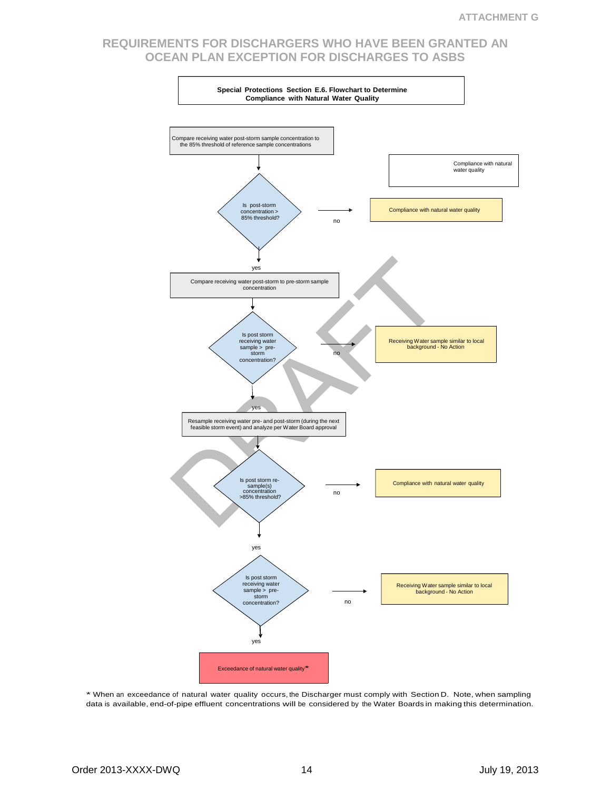

\* When an exceedance of natural water quality occurs, the Discharger must comply with Section D. Note, when sampling data is available, end-of-pipe effluent concentrations will be considered by the Water Boards in making this determination.